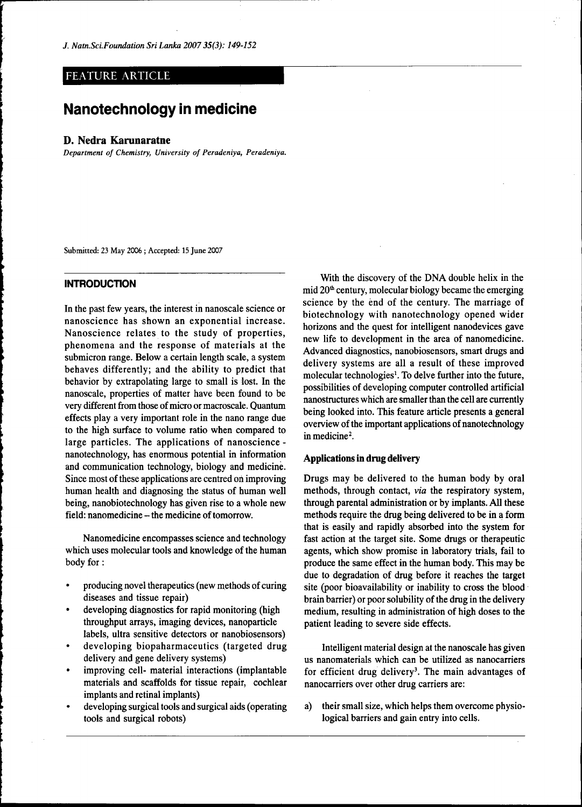# FEATURE ARTICLE

# Nanotechnology in medicine

#### **D. Nedra Karunaratne**

*Department of Chemistry, University of Peradeniya, Peradeniya.* 

Submitted: 23 May 2006 ; Accepted: 15 June 2007

#### **INTRODUCTION**

In the past few years, the interest in nanoscale science or nanoscience has shown an exponential increase. Nanoscience relates to the study of properties, phenomena and the response of materials at the submicron range. Below a certain length scale, a system behaves differently; and the ability to predict that behavior by extrapolating large to small is lost. In the nanoscale, properties of matter have been found to be very different from those of micro or macroscale. Quantum effects play a very important role in the nano range due to the high surface to volume ratio when compared to large particles. The applications of nanoscience nanotechnology, has enormous potential in information and communication technology, biology and medicine. Since most of these applications are centred on improving human health and diagnosing the status of human well being, nanobiotechnology has given rise to a whole new field: nanomedicine – the medicine of tomorrow.

Nanomedicine encompasses science and technology which uses molecular tools and knowledge of the human body for:

- producing novel therapeutics (new methods of curing diseases and tissue repair)
- developing diagnostics for rapid monitoring (high throughput arrays, imaging devices, nanoparticle labels, ultra sensitive detectors or nanobiosensors)
- developing biopaharmaceutics (targeted drug delivery and gene delivery systems)
- improving cell- material interactions (implantable materials and scaffolds for tissue repair, cochlear implants and retinal implants)
- developing surgical tools and surgical aids (operating tools and surgical robots)

With the discovery of the DNA double helix in the mid 20<sup>th</sup> century, molecular biology became the emerging science by the end of the century. The marriage of biotechnology with nanotechnology opened wider horizons and the quest for intelligent nanodevices gave new life to development in the area of nanomedicine. Advanced diagnostics, nanobiosensors, smart drugs and delivery systems are all a result of these improved molecular technologies<sup>1</sup>. To delve further into the future, possibilities of developing computer controlled artificial nanostructures which are smaller than the cell are currently being looked into. This feature article presents a general overview of the important applications of nanotechnology in medicine<sup>2</sup>.

## **Applications in drug delivery**

Drugs may be delivered to the human body by oral methods, through contact, *via* the respiratory system, through parental administration or by implants. All these methods require the drug being delivered to be in a form that is easily and rapidly absorbed into the system for fast action at the target site. Some drugs or therapeutic agents, which show promise in laboratory trials, fail to produce the same effect in the human body. This may be due to degradation of drug before it reaches the target site (poor bioavailability or inability to cross the blood brain barrier) or poor solubility of the drug in the delivery medium, resulting in administration of high doses to the patient leading to severe side effects.

Intelligent material design at the nanoscale has given us nanomaterials which can be utilized as nanocarriers for efficient drug delivery<sup>3</sup>. The main advantages of nanocarriers over other drug carriers are:

a) their small size, which helps them overcome physiological barriers and gain entry into cells.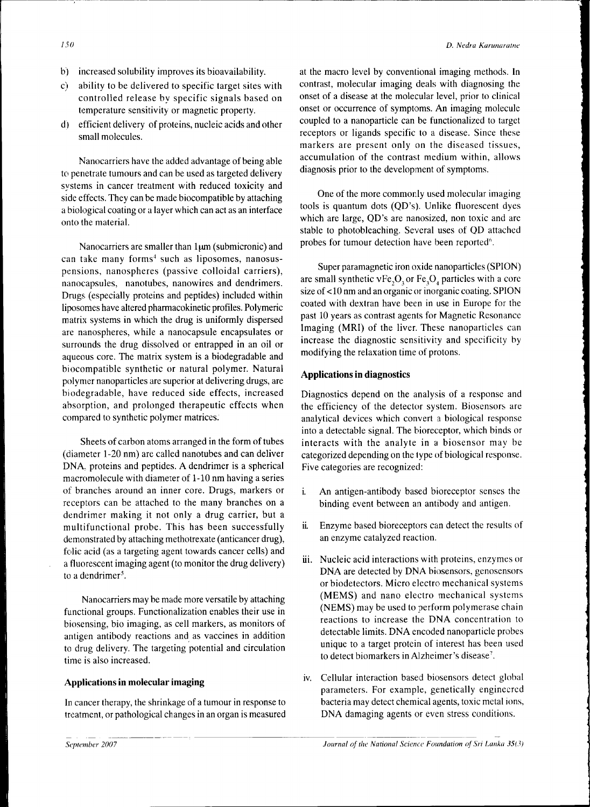- b) increased solubility improves its bioavailability.
- c) ability to be delivered to specific target sites with controlled release by specific signals based on temperature sensitivity or magnetic property.
- d) efficient delivery of proteins, nucleic acids and other small molecules.

Nanocarriers have the added advantage of being able to penetrate tumours and can be used as targeted delivery systems in cancer treatment with reduced toxicity and side effects. They can be made biocompatible by attaching a biological coating or a layer which can act as an interface onto the material.

Nanocarriers are smaller than  $1\mu$ m (submicronic) and can take many forms<sup>4</sup> such as liposomes, nanosuspensions, nanospheres (passive colloidal carriers), nanocapsules, nanotubes, nanowires and dendrimers. Drugs (especially proteins and peptides) included within liposomes have altered pharmacokinetic profiles. Polymeric matrix systems in which the drug is uniformly dispersed are nanospheres, while a nanocapsule encapsulates or surrounds the drug dissolved or entrapped in an oil or aqueous core. The matrix system is a biodegradable and biocompatible synthetic or natural polymer. Natural polymer nanoparticles are superior at delivering drugs, are biodegradable, have reduced side effects, increased absorption, and prolonged therapeutic effects when compared to synthetic polymer matrices.

Sheets of carbon atoms arranged in the form of tubes (diameter 1-20 nm) are called nanotubes and can deliver DNA. proteins and peptides. A dendrimer is a spherical macromolecule with diameter of 1-10 nm having a series of branches around an inner core. Drugs, markers or receptors can be attached to the many branches on a dendrimer making it not only a drug carrier, but a multifunctional probe. This has been successfully demonstrated by attaching methotrexate (anticancer drug), folic acid (as a targeting agent towards cancer cells) and a fluorescent imaging agent (to monitor the drug delivery) to a dendrimer<sup>5</sup>.

Nanocarriers may be made more versatile by attaching functional groups. Functionalization enables their use in biosensing, bio imaging, as cell markers, as monitors of antigen antibody reactions and as vaccines in addition to drug delivery. The targeting potential and circulation time is also increased.

# **Applications in molecular imaging**

In cancer therapy, the shrinkage of a tumour in response to treatment, or pathological changes in an organ is measured at the macro level by conventional imaging methods. In contrast, molecular imaging deals with diagnosing the onset of a disease at the molecular level, prior to clinical onset or occurrence of symptoms. An imaging molecule coupled to a nanoparticle can be functionalized to target receptors or ligands specific to a disease. Since these markers are present only on the diseased tissues, accumulation of the contrast medium within, allows diagnosis prior to the development of symptoms.

One of the more commonly used molecular imaging tools is quantum dots (QD's). Unlike fluorescent dyes which are large, QD's are nanosized, non toxic and are stable to photobleaching. Several uses of QD attached probes for tumour detection have been reported<sup>6</sup>.

Super paramagnetic iron oxide nanoparticles (SPION) are small synthetic  $vFe<sub>2</sub>O<sub>3</sub>$  or Fe<sub>3</sub>O<sub>4</sub> particles with a core size of < 10 nm and an organic or inorganic coating. SPION coated with dextran have been in use in Europe for the past 10 years as contrast agents for Magnetic Resonance Imaging (MRI) of the liver. These nanoparticles can increase the diagnostic sensitivity and specificity by modifying the relaxation time of protons.

## **Applications in diagnostics**

Diagnostics depend on the analysis of a response and the efficiency of the detector system. Biosensors are analytical devices which convert a biological response into a detectable signal. The bioreceptor, which binds or interacts with the analyte in a biosensor may be categorized depending on the type of biological response. Five categories are recognized:

- i. An antigen-antibody based bioreceptor senses the binding event between an antibody and antigen.
- ii. Enzyme based bioreceptors can detect the results of an enzyme catalyzed reaction.
- iii. Nucleic acid interactions with proteins, enzymes or DNA are detected by DNA biosensors, genosensors or biodetectors. Micro electro mechanical systems (MEMS) and nano electro mechanical systems (NEMS) may be used to perform polymerase chain reactions to increase the DNA concentration to detectable limits. DNA encoded nanoparticle probes unique to a target protein of interest has been used to detect biomarkers in Alzheimer's disease<sup>7</sup>.
- iv. Cellular interaction based biosensors detect global parameters. For example, genetically engineered bacteria may detect chemical agents, toxic metal ions, DNA damaging agents or even stress conditions.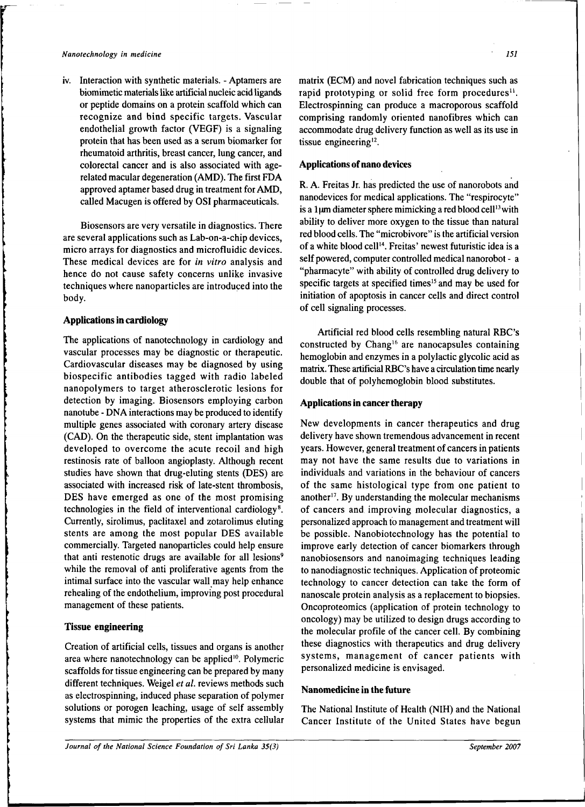iv. Interaction with synthetic materials. - Aptamers are biomimetic materials like artificial nucleic acid ligands or peptide domains on a protein scaffold which can recognize and bind specific targets. Vascular endothelial growth factor (VEGF) is a signaling protein that has been used as a serum biomarker for rheumatoid arthritis, breast cancer, lung cancer, and colorectal cancer and is also associated with agerelated macular degeneration (AMD). The first FDA approved aptamer based drug in treatment for AMD, called Macugen is offered by OSI pharmaceuticals.

Biosensors are very versatile in diagnostics. There are several applications such as Lab-on-a-chip devices, micro arrays for diagnostics and microfluidic devices. These medical devices are for *in vitro* analysis and hence do not cause safety concerns unlike invasive techniques where nanoparticles are introduced into the body.

## Applications in cardiology

The applications of nanotechnology in cardiology and vascular processes may be diagnostic or therapeutic. Cardiovascular diseases may be diagnosed by using biospecific antibodies tagged with radio labeled nanopolymers to target atherosclerotic lesions for detection by imaging. Biosensors employing carbon nanotube - DNA interactions may be produced to identify multiple genes associated with coronary artery disease (CAD). On the therapeutic side, stent implantation was developed to overcome the acute recoil and high restinosis rate of balloon angioplasty. Although recent studies have shown that drug-eluting stents (DES) are associated with increased risk of late-stent thrombosis, DES have emerged as one of the most promising technologies in the field of interventional cardiology<sup>8</sup> Currently, sirolimus, paclitaxel and zotarolimus eluting stents are among the most popular DES available commercially. Targeted nanoparticles could help ensure that anti restenotic drugs are available for all lesions<sup>9</sup> while the removal of anti proliferative agents from the intimal surface into the vascular wall may help enhance rehealing of the endothelium, improving post procedural management of these patients.

#### Tissue engineering

Creation of artificial cells, tissues and organs is another area where nanotechnology can be applied<sup>10</sup>. Polymeric scaffolds for tissue engineering can be prepared by many different techniques. Weigel *et al.* reviews methods such as electrospinning, induced phase separation of polymer solutions or porogen leaching, usage of self assembly systems that mimic the properties of the extra cellular

matrix (ECM) and novel fabrication techniques such as rapid prototyping or solid free form procedures<sup>11</sup>. Electrospinning can produce a macroporous scaffold comprising randomly oriented nanofibres which can accommodate drug delivery function as well as its use in tissue engineering<sup>12</sup>.

#### Applications of nano devices

R. A. Freitas Jr. has predicted the use of nanorobots and nanodevices for medical applications. The "respirocyte" is a 1 $\mu$ m diameter sphere mimicking a red blood cell<sup>13</sup> with ability to deliver more oxygen to the tissue than natural red blood cells. The "microbivore" is the artificial version of a white blood cell<sup>14</sup>. Freitas' newest futuristic idea is a self powered, computer controlled medical nanorobot - a "pharmacyte" with ability of controlled drug delivery to specific targets at specified times<sup>15</sup> and may be used for initiation of apoptosis in cancer cells and direct control of cell signaling processes.

Artificial red blood cells resembling natural RBC's constructed by Chang<sup>16</sup> are nanocapsules containing hemoglobin and enzymes in a polylactic glycolic acid as matrix. These artificial RBC's have a circulation time nearly double that of polyhemoglobin blood substitutes.

#### Applications in cancer therapy

New developments in cancer therapeutics and drug delivery have shown tremendous advancement in recent years. However, general treatment of cancers in patients may not have the same results due to variations in individuals and variations in the behaviour of cancers of the same histological type from one patient to another<sup>17</sup>. By understanding the molecular mechanisms of cancers and improving molecular diagnostics, a personalized approach to management and treatment will be possible. Nanobiotechnology has the potential to improve early detection of cancer biomarkers through nanobiosensors and nanoimaging techniques leading to nanodiagnostic techniques. Application of proteomic technology to cancer detection can take the form of nanoscale protein analysis as a replacement to biopsies. Oncoproteomics (application of protein technology to oncology) may be utilized to design drugs according to the molecular profile of the cancer cell. By combining these diagnostics with therapeutics and drug delivery systems, management of cancer patients with personalized medicine is envisaged.

### Nanomedicine in the future

The National Institute of Health (NIH) and the National Cancer Institute of the United States have begun